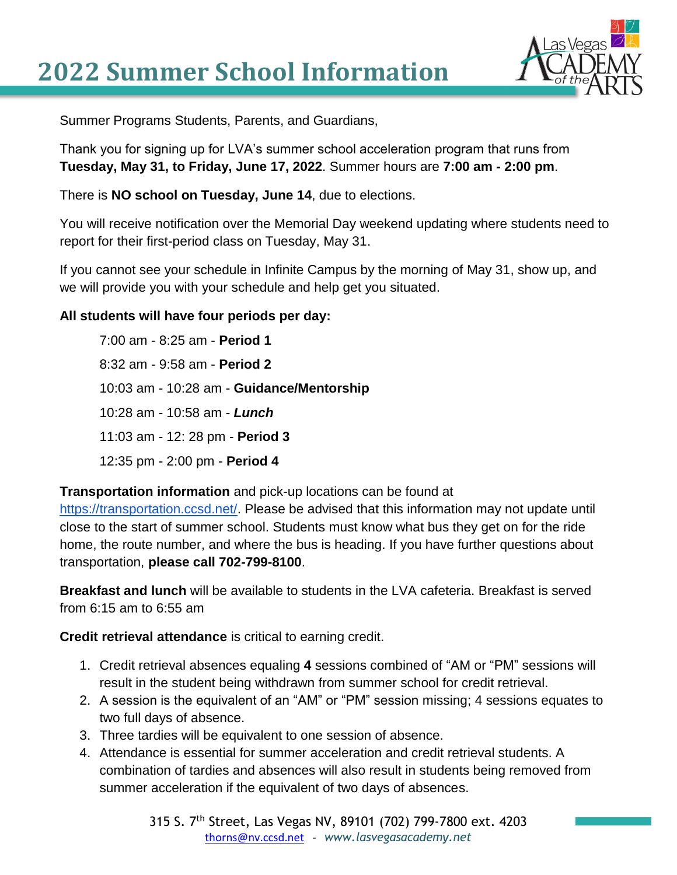## **2022 Summer School Information**



Summer Programs Students, Parents, and Guardians,

Thank you for signing up for LVA's summer school acceleration program that runs from **Tuesday, May 31, to Friday, June 17, 2022**. Summer hours are **7:00 am - 2:00 pm**.

There is **NO school on Tuesday, June 14**, due to elections.

You will receive notification over the Memorial Day weekend updating where students need to report for their first-period class on Tuesday, May 31.

If you cannot see your schedule in Infinite Campus by the morning of May 31, show up, and we will provide you with your schedule and help get you situated.

## **All students will have four periods per day:**

7:00 am - 8:25 am - **Period 1** 8:32 am - 9:58 am - **Period 2** 10:03 am - 10:28 am - **Guidance/Mentorship** 10:28 am - 10:58 am - *Lunch* 11:03 am - 12: 28 pm - **Period 3** 12:35 pm - 2:00 pm - **Period 4**

**Transportation information** and pick-up locations can be found at

[https://transportation.ccsd.net/.](https://transportation.ccsd.net/) Please be advised that this information may not update until close to the start of summer school. Students must know what bus they get on for the ride home, the route number, and where the bus is heading. If you have further questions about transportation, **please call 702-799-8100**.

**Breakfast and lunch** will be available to students in the LVA cafeteria. Breakfast is served from 6:15 am to 6:55 am

**Credit retrieval attendance** is critical to earning credit.

- 1. Credit retrieval absences equaling **4** sessions combined of "AM or "PM" sessions will result in the student being withdrawn from summer school for credit retrieval.
- 2. A session is the equivalent of an "AM" or "PM" session missing; 4 sessions equates to two full days of absence.
- 3. Three tardies will be equivalent to one session of absence.
- 4. Attendance is essential for summer acceleration and credit retrieval students. A combination of tardies and absences will also result in students being removed from summer acceleration if the equivalent of two days of absences.